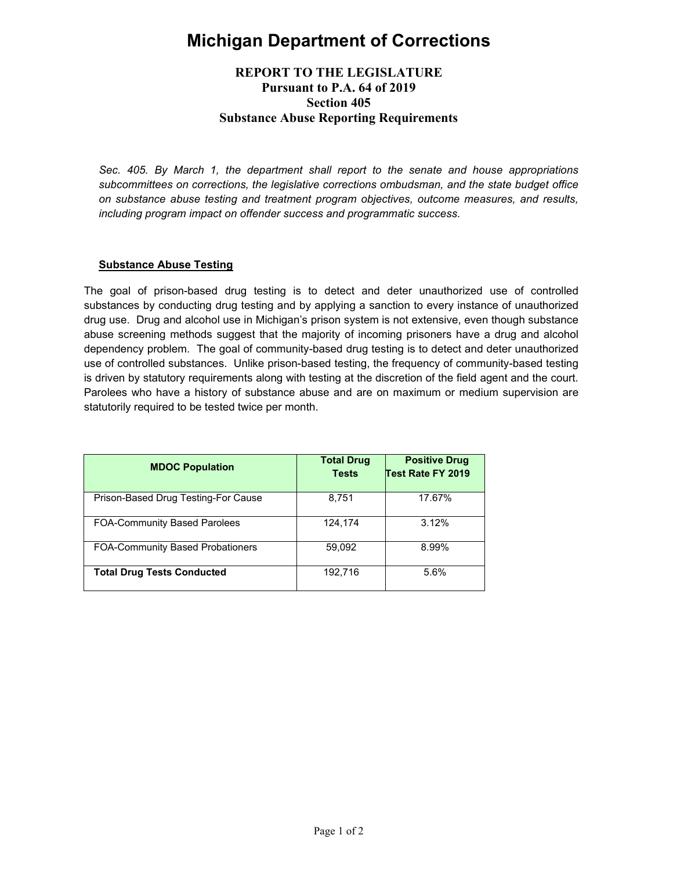# **Michigan Department of Corrections**

# **REPORT TO THE LEGISLATURE Pursuant to P.A. 64 of 2019 Section 405 Substance Abuse Reporting Requirements**

*Sec. 405. By March 1, the department shall report to the senate and house appropriations subcommittees on corrections, the legislative corrections ombudsman, and the state budget office on substance abuse testing and treatment program objectives, outcome measures, and results, including program impact on offender success and programmatic success.*

## **Substance Abuse Testing**

The goal of prison-based drug testing is to detect and deter unauthorized use of controlled substances by conducting drug testing and by applying a sanction to every instance of unauthorized drug use. Drug and alcohol use in Michigan's prison system is not extensive, even though substance abuse screening methods suggest that the majority of incoming prisoners have a drug and alcohol dependency problem. The goal of community-based drug testing is to detect and deter unauthorized use of controlled substances. Unlike prison-based testing, the frequency of community-based testing is driven by statutory requirements along with testing at the discretion of the field agent and the court. Parolees who have a history of substance abuse and are on maximum or medium supervision are statutorily required to be tested twice per month.

| <b>MDOC Population</b>                  | <b>Total Drug</b><br><b>Tests</b> | <b>Positive Drug</b><br>Test Rate FY 2019 |
|-----------------------------------------|-----------------------------------|-------------------------------------------|
| Prison-Based Drug Testing-For Cause     | 8,751                             | 17.67%                                    |
| <b>FOA-Community Based Parolees</b>     | 124.174                           | 3.12%                                     |
| <b>FOA-Community Based Probationers</b> | 59,092                            | 8.99%                                     |
| <b>Total Drug Tests Conducted</b>       | 192.716                           | 5.6%                                      |